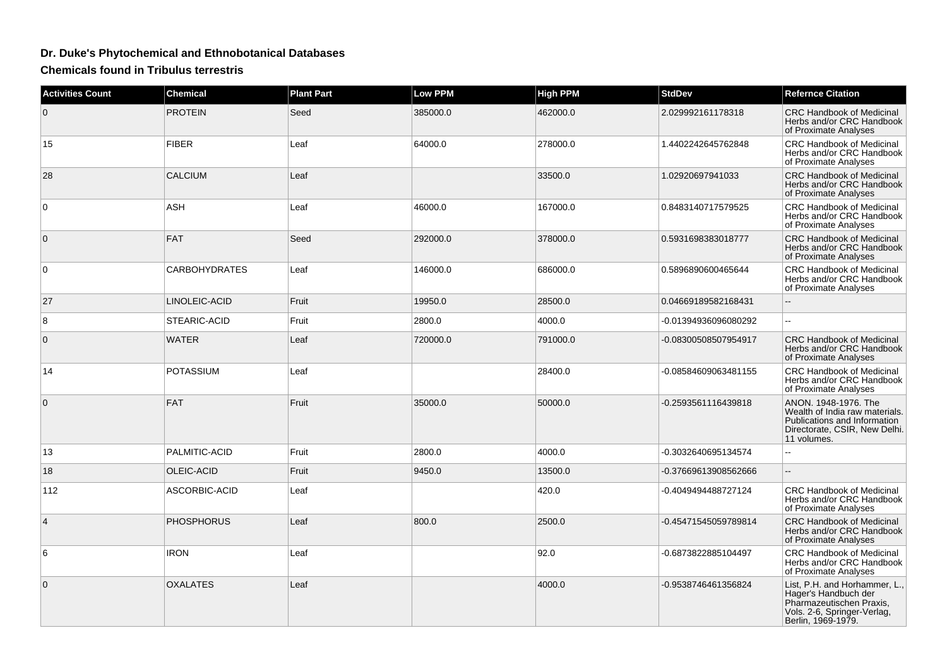## **Dr. Duke's Phytochemical and Ethnobotanical Databases**

**Chemicals found in Tribulus terrestris**

| <b>Activities Count</b> | <b>Chemical</b>      | <b>Plant Part</b> | <b>Low PPM</b> | <b>High PPM</b> | <b>StdDev</b>        | <b>Refernce Citation</b>                                                                                                               |
|-------------------------|----------------------|-------------------|----------------|-----------------|----------------------|----------------------------------------------------------------------------------------------------------------------------------------|
| $\mathbf 0$             | <b>PROTEIN</b>       | Seed              | 385000.0       | 462000.0        | 2.029992161178318    | <b>CRC Handbook of Medicinal</b><br>Herbs and/or CRC Handbook<br>of Proximate Analyses                                                 |
| 15                      | <b>FIBER</b>         | Leaf              | 64000.0        | 278000.0        | 1.4402242645762848   | <b>CRC Handbook of Medicinal</b><br>Herbs and/or CRC Handbook<br>of Proximate Analyses                                                 |
| 28                      | <b>CALCIUM</b>       | Leaf              |                | 33500.0         | 1.02920697941033     | <b>CRC Handbook of Medicinal</b><br>Herbs and/or CRC Handbook<br>of Proximate Analyses                                                 |
| $\mathbf 0$             | <b>ASH</b>           | Leaf              | 46000.0        | 167000.0        | 0.8483140717579525   | CRC Handbook of Medicinal<br>Herbs and/or CRC Handbook<br>of Proximate Analyses                                                        |
| $\mathbf 0$             | <b>FAT</b>           | Seed              | 292000.0       | 378000.0        | 0.5931698383018777   | <b>CRC Handbook of Medicinal</b><br>Herbs and/or CRC Handbook<br>of Proximate Analyses                                                 |
| 0                       | <b>CARBOHYDRATES</b> | Leaf              | 146000.0       | 686000.0        | 0.5896890600465644   | <b>CRC Handbook of Medicinal</b><br>Herbs and/or CRC Handbook<br>of Proximate Analyses                                                 |
| 27                      | LINOLEIC-ACID        | Fruit             | 19950.0        | 28500.0         | 0.04669189582168431  |                                                                                                                                        |
| 8                       | STEARIC-ACID         | Fruit             | 2800.0         | 4000.0          | -0.01394936096080292 | Ξ.                                                                                                                                     |
| $\mathbf{0}$            | <b>WATER</b>         | Leaf              | 720000.0       | 791000.0        | -0.08300508507954917 | <b>CRC Handbook of Medicinal</b><br>Herbs and/or CRC Handbook<br>of Proximate Analyses                                                 |
| 14                      | <b>POTASSIUM</b>     | Leaf              |                | 28400.0         | -0.08584609063481155 | <b>CRC Handbook of Medicinal</b><br>Herbs and/or CRC Handbook<br>of Proximate Analyses                                                 |
| $\mathbf{0}$            | FAT                  | Fruit             | 35000.0        | 50000.0         | -0.2593561116439818  | ANON. 1948-1976. The<br>Wealth of India raw materials.<br>Publications and Information<br>Directorate, CSIR, New Delhi.<br>11 volumes. |
| 13                      | PALMITIC-ACID        | Fruit             | 2800.0         | 4000.0          | -0.3032640695134574  | чü.                                                                                                                                    |
| 18                      | OLEIC-ACID           | Fruit             | 9450.0         | 13500.0         | -0.37669613908562666 | u.                                                                                                                                     |
| 112                     | ASCORBIC-ACID        | Leaf              |                | 420.0           | -0.4049494488727124  | <b>CRC Handbook of Medicinal</b><br>Herbs and/or CRC Handbook<br>of Proximate Analyses                                                 |
| $\overline{4}$          | <b>PHOSPHORUS</b>    | Leaf              | 800.0          | 2500.0          | -0.45471545059789814 | <b>CRC Handbook of Medicinal</b><br>Herbs and/or CRC Handbook<br>of Proximate Analyses                                                 |
| 6                       | <b>IRON</b>          | Leaf              |                | 92.0            | -0.6873822885104497  | <b>CRC Handbook of Medicinal</b><br>Herbs and/or CRC Handbook<br>of Proximate Analyses                                                 |
| $\mathbf 0$             | <b>OXALATES</b>      | Leaf              |                | 4000.0          | -0.9538746461356824  | List, P.H. and Horhammer, L.,<br>Hager's Handbuch der<br>Pharmazeutischen Praxis,<br>Vols. 2-6, Springer-Verlag,<br>Berlin, 1969-1979. |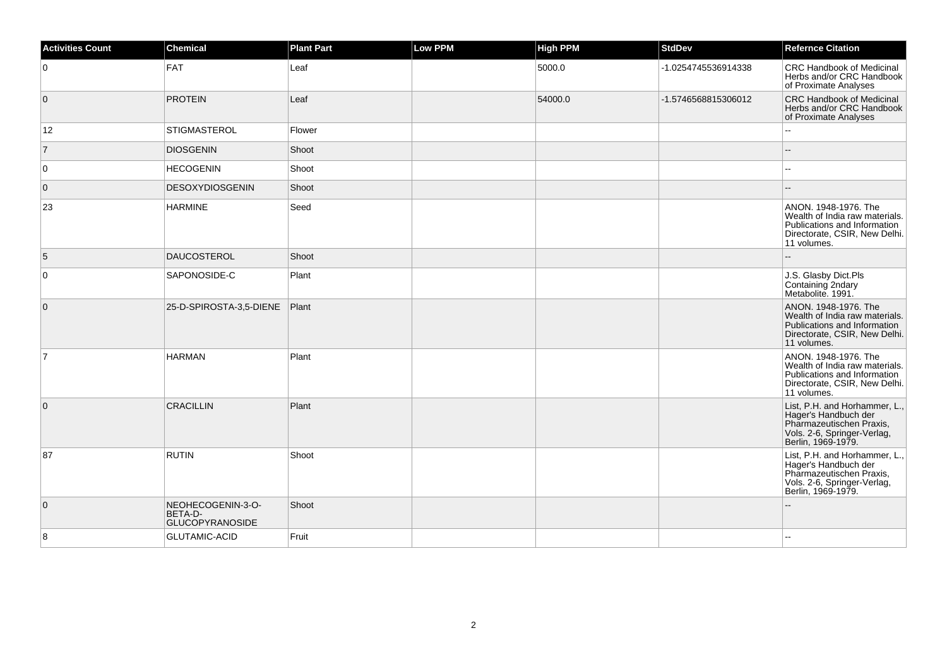| <b>Activities Count</b> | <b>Chemical</b>                                        | <b>Plant Part</b> | <b>Low PPM</b> | High PPM | <b>StdDev</b>       | <b>Refernce Citation</b>                                                                                                               |
|-------------------------|--------------------------------------------------------|-------------------|----------------|----------|---------------------|----------------------------------------------------------------------------------------------------------------------------------------|
| $\overline{0}$          | FAT                                                    | Leaf              |                | 5000.0   | -1.0254745536914338 | <b>CRC Handbook of Medicinal</b><br>Herbs and/or CRC Handbook<br>of Proximate Analyses                                                 |
| $\overline{0}$          | <b>PROTEIN</b>                                         | Leaf              |                | 54000.0  | -1.5746568815306012 | <b>CRC Handbook of Medicinal</b><br>Herbs and/or CRC Handbook<br>of Proximate Analyses                                                 |
| 12                      | STIGMASTEROL                                           | Flower            |                |          |                     |                                                                                                                                        |
| $\overline{7}$          | <b>DIOSGENIN</b>                                       | Shoot             |                |          |                     |                                                                                                                                        |
| 0                       | <b>HECOGENIN</b>                                       | Shoot             |                |          |                     |                                                                                                                                        |
| $\overline{0}$          | DESOXYDIOSGENIN                                        | Shoot             |                |          |                     |                                                                                                                                        |
| 23                      | <b>HARMINE</b>                                         | Seed              |                |          |                     | ANON. 1948-1976. The<br>Wealth of India raw materials.<br>Publications and Information<br>Directorate, CSIR, New Delhi.<br>11 volumes. |
| 5                       | DAUCOSTEROL                                            | Shoot             |                |          |                     | $\sim$                                                                                                                                 |
| 0                       | SAPONOSIDE-C                                           | Plant             |                |          |                     | J.S. Glasby Dict.Pls<br>Containing 2ndary<br>Metabolite. 1991.                                                                         |
| $\overline{0}$          | 25-D-SPIROSTA-3,5-DIENE                                | Plant             |                |          |                     | ANON. 1948-1976. The<br>Wealth of India raw materials.<br>Publications and Information<br>Directorate, CSIR, New Delhi.<br>11 volumes. |
| $\overline{7}$          | <b>HARMAN</b>                                          | Plant             |                |          |                     | ANON. 1948-1976. The<br>Wealth of India raw materials.<br>Publications and Information<br>Directorate, CSIR, New Delhi.<br>11 volumes. |
| $\overline{0}$          | <b>CRACILLIN</b>                                       | Plant             |                |          |                     | List, P.H. and Horhammer, L.,<br>Hager's Handbuch der<br>Pharmazeutischen Praxis,<br>Vols. 2-6, Springer-Verlag,<br>Berlin, 1969-1979. |
| 87                      | <b>RUTIN</b>                                           | Shoot             |                |          |                     | List, P.H. and Horhammer, L.,<br>Hager's Handbuch der<br>Pharmazeutischen Praxis,<br>Vols. 2-6, Springer-Verlag,<br>Berlin, 1969-1979. |
| $\overline{0}$          | NEOHECOGENIN-3-O-<br>BETA-D-<br><b>GLUCOPYRANOSIDE</b> | Shoot             |                |          |                     |                                                                                                                                        |
| 8                       | <b>GLUTAMIC-ACID</b>                                   | Fruit             |                |          |                     |                                                                                                                                        |